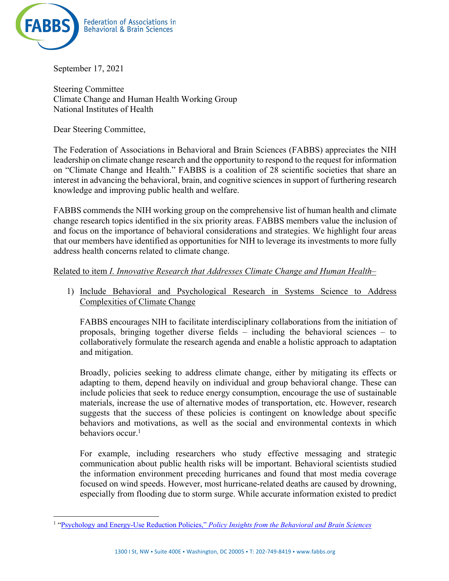

September 17, 2021

Steering Committee Climate Change and Human Health Working Group National Institutes of Health

Dear Steering Committee,

The Federation of Associations in Behavioral and Brain Sciences (FABBS) appreciates the NIH leadership on climate change research and the opportunity to respond to the request for information on "Climate Change and Health." FABBS is a coalition of 28 scientific societies that share an interest in advancing the behavioral, brain, and cognitive sciences in support of furthering research knowledge and improving public health and welfare.

FABBS commends the NIH working group on the comprehensive list of human health and climate change research topics identified in the six priority areas. FABBS members value the inclusion of and focus on the importance of behavioral considerations and strategies. We highlight four areas that our members have identified as opportunities for NIH to leverage its investments to more fully address health concerns related to climate change.

## Related to item *I. Innovative Research that Addresses Climate Change and Human Health*–

1) Include Behavioral and Psychological Research in Systems Science to Address Complexities of Climate Change

FABBS encourages NIH to facilitate interdisciplinary collaborations from the initiation of proposals, bringing together diverse fields – including the behavioral sciences – to collaboratively formulate the research agenda and enable a holistic approach to adaptation and mitigation.

Broadly, policies seeking to address climate change, either by mitigating its effects or adapting to them, depend heavily on individual and group behavioral change. These can include policies that seek to reduce energy consumption, encourage the use of sustainable materials, increase the use of alternative modes of transportation, etc. However, research suggests that the success of these policies is contingent on knowledge about specific behaviors and motivations, as well as the social and environmental contexts in which behaviors occur.<sup>1</sup>

For example, including researchers who study effective messaging and strategic communication about public health risks will be important. Behavioral scientists studied the information environment preceding hurricanes and found that most media coverage focused on wind speeds. However, most hurricane-related deaths are caused by drowning, especially from flooding due to storm surge. While accurate information existed to predict

<sup>1</sup> "Psychology and Energy-Use Reduction Policies," *Policy Insights from the Behavioral and Brain Sciences*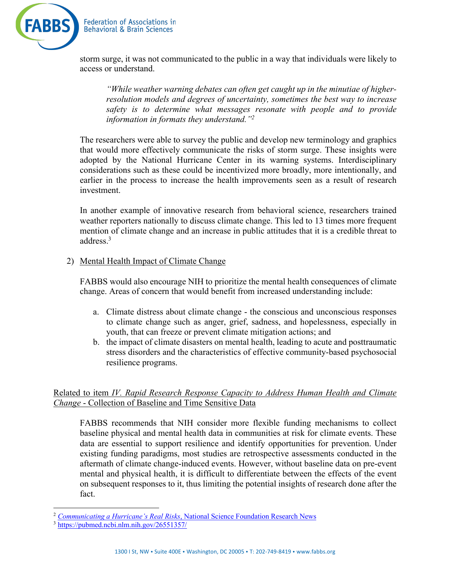

storm surge, it was not communicated to the public in a way that individuals were likely to access or understand.

*"While weather warning debates can often get caught up in the minutiae of higherresolution models and degrees of uncertainty, sometimes the best way to increase safety is to determine what messages resonate with people and to provide information in formats they understand."2*

The researchers were able to survey the public and develop new terminology and graphics that would more effectively communicate the risks of storm surge. These insights were adopted by the National Hurricane Center in its warning systems. Interdisciplinary considerations such as these could be incentivized more broadly, more intentionally, and earlier in the process to increase the health improvements seen as a result of research investment.

In another example of innovative research from behavioral science, researchers trained weather reporters nationally to discuss climate change. This led to 13 times more frequent mention of climate change and an increase in public attitudes that it is a credible threat to address.3

## 2) Mental Health Impact of Climate Change

FABBS would also encourage NIH to prioritize the mental health consequences of climate change. Areas of concern that would benefit from increased understanding include:

- a. Climate distress about climate change the conscious and unconscious responses to climate change such as anger, grief, sadness, and hopelessness, especially in youth, that can freeze or prevent climate mitigation actions; and
- b. the impact of climate disasters on mental health, leading to acute and posttraumatic stress disorders and the characteristics of effective community-based psychosocial resilience programs.

## Related to item *IV. Rapid Research Response Capacity to Address Human Health and Climate Change* - Collection of Baseline and Time Sensitive Data

FABBS recommends that NIH consider more flexible funding mechanisms to collect baseline physical and mental health data in communities at risk for climate events. These data are essential to support resilience and identify opportunities for prevention. Under existing funding paradigms, most studies are retrospective assessments conducted in the aftermath of climate change-induced events. However, without baseline data on pre-event mental and physical health, it is difficult to differentiate between the effects of the event on subsequent responses to it, thus limiting the potential insights of research done after the fact.

<sup>2</sup> *Communicating a Hurricane's Real Risks*, National Science Foundation Research News

<sup>3</sup> https://pubmed.ncbi.nlm.nih.gov/26551357/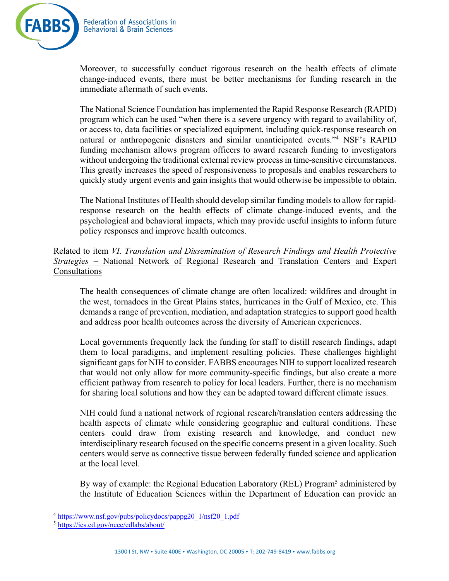

Moreover, to successfully conduct rigorous research on the health effects of climate change-induced events, there must be better mechanisms for funding research in the immediate aftermath of such events.

The National Science Foundation has implemented the Rapid Response Research (RAPID) program which can be used "when there is a severe urgency with regard to availability of, or access to, data facilities or specialized equipment, including quick-response research on natural or anthropogenic disasters and similar unanticipated events."4 NSF's RAPID funding mechanism allows program officers to award research funding to investigators without undergoing the traditional external review process in time-sensitive circumstances. This greatly increases the speed of responsiveness to proposals and enables researchers to quickly study urgent events and gain insights that would otherwise be impossible to obtain.

The National Institutes of Health should develop similar funding models to allow for rapidresponse research on the health effects of climate change-induced events, and the psychological and behavioral impacts, which may provide useful insights to inform future policy responses and improve health outcomes.

## Related to item *VI. Translation and Dissemination of Research Findings and Health Protective Strategies* – National Network of Regional Research and Translation Centers and Expert Consultations

The health consequences of climate change are often localized: wildfires and drought in the west, tornadoes in the Great Plains states, hurricanes in the Gulf of Mexico, etc. This demands a range of prevention, mediation, and adaptation strategies to support good health and address poor health outcomes across the diversity of American experiences.

Local governments frequently lack the funding for staff to distill research findings, adapt them to local paradigms, and implement resulting policies. These challenges highlight significant gaps for NIH to consider. FABBS encourages NIH to support localized research that would not only allow for more community-specific findings, but also create a more efficient pathway from research to policy for local leaders. Further, there is no mechanism for sharing local solutions and how they can be adapted toward different climate issues.

NIH could fund a national network of regional research/translation centers addressing the health aspects of climate while considering geographic and cultural conditions. These centers could draw from existing research and knowledge, and conduct new interdisciplinary research focused on the specific concerns present in a given locality. Such centers would serve as connective tissue between federally funded science and application at the local level.

By way of example: the Regional Education Laboratory (REL) Program<sup>5</sup> administered by the Institute of Education Sciences within the Department of Education can provide an

<sup>4</sup> https://www.nsf.gov/pubs/policydocs/pappg20\_1/nsf20\_1.pdf

<sup>5</sup> https://ies.ed.gov/ncee/edlabs/about/